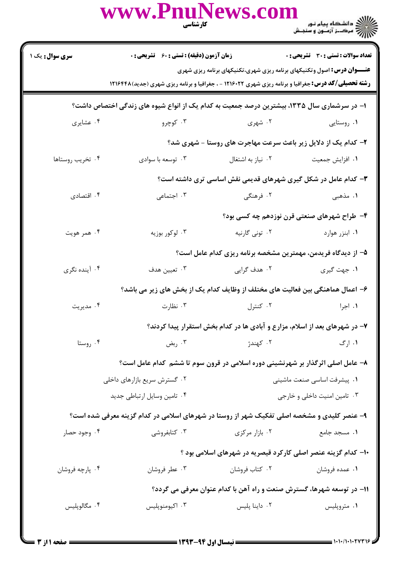|                                                                                             | www.PnuNews.com<br>كارشناسي                                                 |                                                                                                                | ے :<br>حکالات دانشگاہ پیام نور<br>حکالات مرکز آزمنوں و سنجش                                                                                                                                   |  |  |  |
|---------------------------------------------------------------------------------------------|-----------------------------------------------------------------------------|----------------------------------------------------------------------------------------------------------------|-----------------------------------------------------------------------------------------------------------------------------------------------------------------------------------------------|--|--|--|
| <b>سری سوال :</b> یک ۱                                                                      | زمان آزمون (دقیقه) : تستی : 60 قشریحی : 0                                   |                                                                                                                | تعداد سوالات : تستي : 30 ٪ تشريحي : 0                                                                                                                                                         |  |  |  |
|                                                                                             |                                                                             |                                                                                                                | <b>عنـــوان درس:</b> اصول وتکنیکهای برنامه ریزی شهری،تکنیکهای برنامه ریزی شهری<br><b>رشته تحصیلی/کد درس:</b> جغرافیا و برنامه ریزی شهری ۱۲۱۶۰۲۲ - ، جغرافیا و برنامه ریزی شهری (جدید) ۱۲۱۶۴۴۸ |  |  |  |
| ا– در سرشماری سال ۱۳۳۵، بیشترین درصد جمعیت به کدام یک از انواع شیوه های زندگی اختصاص داشت؟  |                                                                             |                                                                                                                |                                                                                                                                                                                               |  |  |  |
| ۰۴ عشایری                                                                                   | ۰۳ کوچرو                                                                    | ۰۲ شهری                                                                                                        | ۰۱ روستایی                                                                                                                                                                                    |  |  |  |
|                                                                                             | ۲- کدام یک از دلایل زیر باعث سرعت مهاجرت های روستا - شهری شد؟               |                                                                                                                |                                                                                                                                                                                               |  |  |  |
| ۰۴ تخریب روستاها                                                                            | ۰۳ توسعه با سوادي                                                           | ۰۲ نیاز به اشتغال                                                                                              | ۰۱ افزایش جمعیت                                                                                                                                                                               |  |  |  |
|                                                                                             |                                                                             |                                                                                                                | ۳- کدام عامل در شکل گیری شهرهای قدیمی نقش اساسی تری داشته است؟                                                                                                                                |  |  |  |
| ۰۴ اقتصادی                                                                                  | ۰۳ اجتماعی                                                                  | ۰۲ فرهنگی                                                                                                      | ۱. مذهبی                                                                                                                                                                                      |  |  |  |
|                                                                                             |                                                                             |                                                                                                                | ۴- طراح شهرهای صنعتی قرن نوزدهم چه کسی بود؟                                                                                                                                                   |  |  |  |
| ۰۴ همر هويت                                                                                 | ۰۳ لوکور بوزیه                                                              | ۲. تونی گارنیه                                                                                                 | ٠١. ابنزر هوارد                                                                                                                                                                               |  |  |  |
|                                                                                             |                                                                             |                                                                                                                | ۵– از دیدگاه فریدمن، مهمترین مشخصه برنامه ریزی کدام عامل است؟                                                                                                                                 |  |  |  |
| ۰۴ آینده نگری                                                                               | ۰۳ تعیین هدف                                                                | ۲. هدف گرايي                                                                                                   | ۰۱ جهت گیری                                                                                                                                                                                   |  |  |  |
|                                                                                             |                                                                             |                                                                                                                | ۶– اعمال هماهنگی بین فعالیت های مختلف از وظایف کدام یک از بخش های زیر می باشد؟                                                                                                                |  |  |  |
| ۰۴ مديريت                                                                                   |                                                                             | ۰۱ اجرا مستخدم است. استخدا از این است که است که این مطارت می کند و است که از این است که است که از این است که ا |                                                                                                                                                                                               |  |  |  |
|                                                                                             | ۷- در شهرهای بعد از اسلام، مزارع و آبادی ها در کدام بخش استقرار پیدا کردند؟ |                                                                                                                |                                                                                                                                                                                               |  |  |  |
| ۰۴ روستا                                                                                    | بض $\cdot$ ۳ .                                                              | ۰۲ كهندژ                                                                                                       | ۰۱ ارگ                                                                                                                                                                                        |  |  |  |
|                                                                                             |                                                                             |                                                                                                                | ۸– عامل اصلی اثرگذار بر شهرنشینی دوره اسلامی در قرون سوم تا ششم کدام عامل است؟                                                                                                                |  |  |  |
|                                                                                             | ۰۲ گسترش سریع بازارهای داخلی                                                |                                                                                                                | ۰۱ پیشرفت اساسی صنعت ماشینی                                                                                                                                                                   |  |  |  |
|                                                                                             | ۰۴ تامین وسایل ارتباطی جدید                                                 |                                                                                                                | ۰۳ تامین امنیت داخلی و خارجی                                                                                                                                                                  |  |  |  |
| ۹- عنصر کلیدی و مشخصه اصلی تفکیک شهر از روستا در شهرهای اسلامی در کدام گزینه معرفی شده است؟ |                                                                             |                                                                                                                |                                                                                                                                                                                               |  |  |  |
| ۰۴ وجود حصار                                                                                | ۰۳ کتابفروشی                                                                | ۰۲ بازار مرکزی                                                                                                 | ۰۱ مسجد جامع                                                                                                                                                                                  |  |  |  |
|                                                                                             |                                                                             |                                                                                                                | ۱۰– کدام گزینه عنصر اصلی کارکرد قیصریه در شهرهای اسلامی بود ؟                                                                                                                                 |  |  |  |
| ۰۴ پارچه فروشان                                                                             | ۰۳ عطر فروشان                                                               | ۰۲ کتاب فروشان                                                                                                 | ۰۱ عمده فروشان                                                                                                                                                                                |  |  |  |
| ۱۱– در توسعه شهرها، گسترش صنعت و راه آهن با کدام عنوان معرفی می گردد؟                       |                                                                             |                                                                                                                |                                                                                                                                                                                               |  |  |  |
| ۰۴ مگالوپلیس                                                                                | ۰۳ اکیومنوپلیس                                                              | ۰۲ داینا پلیس                                                                                                  | ۰۱ متروپلیس                                                                                                                                                                                   |  |  |  |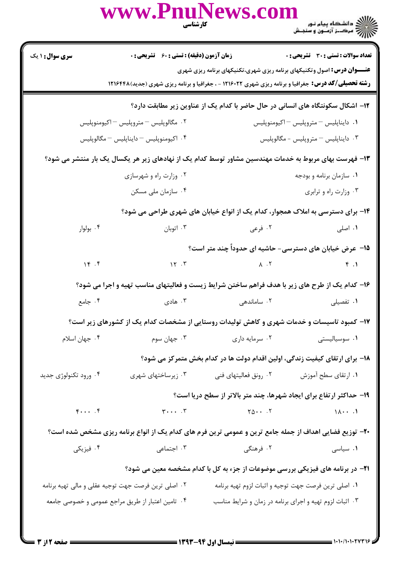|                                                                                                              | www.PnuNews.com                                                                                                                                                                               | <b>کار شناسی</b><br>مسیح                                                                                       | ے<br>کا ایک دانشگاہ پیام نور<br>کا ایک مرکــز آزمـون و سنجـش |  |  |
|--------------------------------------------------------------------------------------------------------------|-----------------------------------------------------------------------------------------------------------------------------------------------------------------------------------------------|----------------------------------------------------------------------------------------------------------------|--------------------------------------------------------------|--|--|
| <b>سری سوال : ۱ یک</b>                                                                                       | زمان آزمون (دقیقه) : تستی : 60 ٪ تشریحی : 0                                                                                                                                                   |                                                                                                                | <b>تعداد سوالات : تستی : 30 ٪ تشریحی : 0</b>                 |  |  |
|                                                                                                              | <b>عنـــوان درس:</b> اصول وتکنیکهای برنامه ریزی شهری،تکنیکهای برنامه ریزی شهری<br><b>رشته تحصیلی/کد درس:</b> جغرافیا و برنامه ریزی شهری ۱۲۱۶۰۲۲ - ، جغرافیا و برنامه ریزی شهری (جدید) ۱۲۱۶۴۴۸ |                                                                                                                |                                                              |  |  |
|                                                                                                              |                                                                                                                                                                                               | ۱۲– اشکال سکونتگاه های انسانی در حال حاضر با کدام یک از عناوین زیر مطابقت دارد؟                                |                                                              |  |  |
| ۰۲ مگالوپلیس – متروپلیس – اکیومنوپلیس                                                                        |                                                                                                                                                                                               | ٠١ دايناپليس – متروپليس – اکيومنوپليس                                                                          |                                                              |  |  |
| ۰۴ اکیومنوپلیس – دایناپلیس – مگالوپلیس                                                                       |                                                                                                                                                                                               | ۰۳ دایناپلیس <sup>–</sup> متروپلیس - مگالوپلیس                                                                 |                                                              |  |  |
| ۱۳– فهرست بهای مربوط به خدمات مهندسین مشاور توسط کدام یک از نهادهای زیر هر یکسال یک بار منتشر می شود؟        |                                                                                                                                                                                               |                                                                                                                |                                                              |  |  |
|                                                                                                              | ۰۲ وزارت راه و شهرسازی                                                                                                                                                                        |                                                                                                                | ۰۱ سازمان برنامه و بودجه                                     |  |  |
|                                                                                                              | ۰۴ سازمان ملی مسکن                                                                                                                                                                            |                                                                                                                | ۰۳ وزارت راه و ترابری                                        |  |  |
| ۱۴- برای دسترسی به املاک همجوار، کدام یک از انواع خیابان های شهری طراحی می شود؟                              |                                                                                                                                                                                               |                                                                                                                |                                                              |  |  |
| ۰۴ بولوار                                                                                                    | ۰۳ اتوبان                                                                                                                                                                                     | ۱. اصلی مسلم است کا توسی است که در علی است که در سال ۱۳ میلاد و مسلم است که در این که در این که در این که در ا |                                                              |  |  |
|                                                                                                              |                                                                                                                                                                                               | ۱۵– عرض خیابان های دسترسی- حاشیه ای حدوداً چند متر است؟                                                        |                                                              |  |  |
| 16.5                                                                                                         |                                                                                                                                                                                               | $\lambda$ . T $\lambda$ . T $\beta$ . T                                                                        |                                                              |  |  |
|                                                                                                              | ۱۶- کدام یک از طرح های زیر با هدف فراهم ساختن شرایط زیست و فعالیتهای مناسب تهیه و اجرا می شود؟                                                                                                |                                                                                                                |                                                              |  |  |
|                                                                                                              | ۰۱ تفصیلی ساماندهی به ساماندهی به ساماندهای به ساماندهی می شود. از این موادی است. این موادی از این موادی است ک                                                                                |                                                                                                                |                                                              |  |  |
|                                                                                                              | ۱۷– کمبود تاسیسات و خدمات شهری و کاهش تولیدات روستایی از مشخصات کدام یک از کشورهای زیر است؟                                                                                                   |                                                                                                                |                                                              |  |  |
| ۰۴ جهان اسلام                                                                                                |                                                                                                                                                                                               | ۰۲ سرمایه داری مسرم سوم . ۳                                                                                    | ۰۱ سوسیالیستی                                                |  |  |
|                                                                                                              |                                                                                                                                                                                               | ۱۸– برای ارتقای کیفیت زندگی، اولین اقدام دولت ها در کدام بخش متمرکز می شود؟                                    |                                                              |  |  |
| ۰۴ ورود تکنولوژی جدید                                                                                        | ۰۳ زیرساختهای شهری                                                                                                                                                                            | ۰۲ رونق فعالیتهای فنی                                                                                          | ۰۱ ارتقای سطح آموزش                                          |  |  |
|                                                                                                              |                                                                                                                                                                                               | ۱۹- حداکثر ارتفاع برای ایجاد شهرها، چند متر بالاتر از سطح دریا است؟                                            |                                                              |  |  |
| $F \cdot \cdot \cdot$ . $F$                                                                                  | $\mathbf{r} \cdot \cdot \cdot \cdot \mathbf{r}$ $\mathbf{r} \cdot \cdot \cdot \cdot \mathbf{r}$ $\mathbf{r} \cdot \cdot \cdot \mathbf{r}$ $\mathbf{r} \cdot \cdot \cdot \mathbf{r}$           |                                                                                                                |                                                              |  |  |
|                                                                                                              | +۲- توزیع فضایی اهداف از جمله جامع ترین و عمومی ترین فرم های کدام یک از انواع برنامه ریزی مشخص شده است؟                                                                                       |                                                                                                                |                                                              |  |  |
| ۰۴ فیزیکی                                                                                                    | ۰۲ فرهنگی مسلمی است. اجتماعی                                                                                                                                                                  |                                                                                                                | ۰۱ سیاسی                                                     |  |  |
|                                                                                                              |                                                                                                                                                                                               | <b>۲۱</b> - در برنامه های فیزیکی بررسی موضوعات از جزء به کل با کدام مشخصه معین می شود؟                         |                                                              |  |  |
|                                                                                                              | ۰۲ اصلی ترین فرصت جهت توجیه عقلی و مالی تهیه برنامه                                                                                                                                           | ۰۱ اصلی ترین فرصت جهت توجیه و اثبات لزوم تهیه برنامه                                                           |                                                              |  |  |
| ۰۳ اثبات لزوم تهیه و اجرای برنامه در زمان و شرایط مناسب<br>۰۴ تامین اعتبار از طریق مراجع عمومی و خصوصی جامعه |                                                                                                                                                                                               |                                                                                                                |                                                              |  |  |
|                                                                                                              |                                                                                                                                                                                               |                                                                                                                |                                                              |  |  |